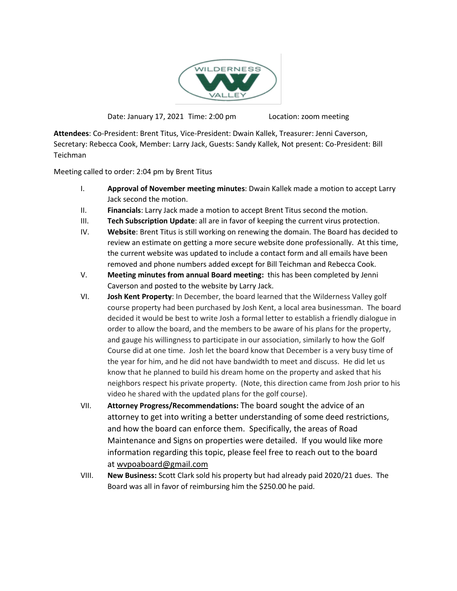

Date: January 17, 2021 Time: 2:00 pm Location: zoom meeting

**Attendees**: Co-President: Brent Titus, Vice-President: Dwain Kallek, Treasurer: Jenni Caverson, Secretary: Rebecca Cook, Member: Larry Jack, Guests: Sandy Kallek, Not present: Co-President: Bill Teichman

Meeting called to order: 2:04 pm by Brent Titus

- I. **Approval of November meeting minutes**: Dwain Kallek made a motion to accept Larry Jack second the motion.
- II. **Financials**: Larry Jack made a motion to accept Brent Titus second the motion.
- III. **Tech Subscription Update**: all are in favor of keeping the current virus protection.
- IV. **Website**: Brent Titus is still working on renewing the domain. The Board has decided to review an estimate on getting a more secure website done professionally. At this time, the current website was updated to include a contact form and all emails have been removed and phone numbers added except for Bill Teichman and Rebecca Cook.
- V. **Meeting minutes from annual Board meeting:** this has been completed by Jenni Caverson and posted to the website by Larry Jack.
- VI. **Josh Kent Property**: In December, the board learned that the Wilderness Valley golf course property had been purchased by Josh Kent, a local area businessman. The board decided it would be best to write Josh a formal letter to establish a friendly dialogue in order to allow the board, and the members to be aware of his plans for the property, and gauge his willingness to participate in our association, similarly to how the Golf Course did at one time. Josh let the board know that December is a very busy time of the year for him, and he did not have bandwidth to meet and discuss. He did let us know that he planned to build his dream home on the property and asked that his neighbors respect his private property. (Note, this direction came from Josh prior to his video he shared with the updated plans for the golf course).
- VII. **Attorney Progress/Recommendations:** The board sought the advice of an attorney to get into writing a better understanding of some deed restrictions, and how the board can enforce them. Specifically, the areas of Road Maintenance and Signs on properties were detailed. If you would like more information regarding this topic, please feel free to reach out to the board at [wvpoaboard@gmail.com](mailto:wvpoaboard@gmail.com)
- VIII. **New Business:** Scott Clark sold his property but had already paid 2020/21 dues. The Board was all in favor of reimbursing him the \$250.00 he paid.